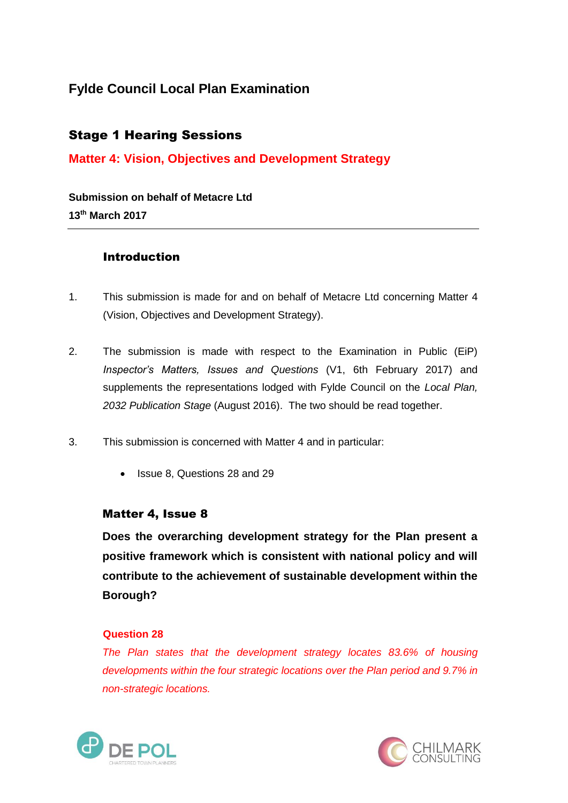# **Fylde Council Local Plan Examination**

# Stage 1 Hearing Sessions

## **Matter 4: Vision, Objectives and Development Strategy**

**Submission on behalf of Metacre Ltd 13th March 2017**

## Introduction

- 1. This submission is made for and on behalf of Metacre Ltd concerning Matter 4 (Vision, Objectives and Development Strategy).
- 2. The submission is made with respect to the Examination in Public (EiP) *Inspector's Matters, Issues and Questions* (V1, 6th February 2017) and supplements the representations lodged with Fylde Council on the *Local Plan, 2032 Publication Stage* (August 2016). The two should be read together.
- 3. This submission is concerned with Matter 4 and in particular:
	- Issue 8, Questions 28 and 29

### Matter 4, Issue 8

**Does the overarching development strategy for the Plan present a positive framework which is consistent with national policy and will contribute to the achievement of sustainable development within the Borough?** 

#### **Question 28**

*The Plan states that the development strategy locates 83.6% of housing developments within the four strategic locations over the Plan period and 9.7% in non-strategic locations.* 



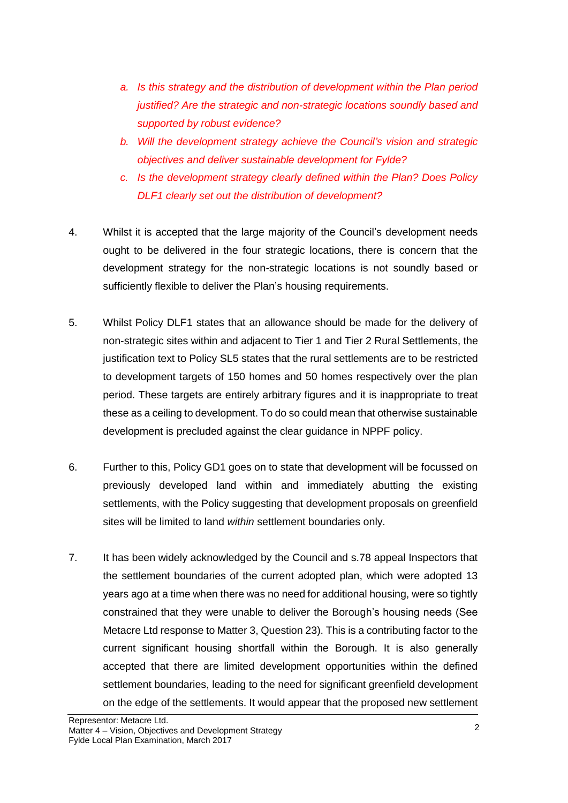- *a. Is this strategy and the distribution of development within the Plan period justified? Are the strategic and non-strategic locations soundly based and supported by robust evidence?*
- *b. Will the development strategy achieve the Council's vision and strategic objectives and deliver sustainable development for Fylde?*
- *c. Is the development strategy clearly defined within the Plan? Does Policy DLF1 clearly set out the distribution of development?*
- 4. Whilst it is accepted that the large majority of the Council's development needs ought to be delivered in the four strategic locations, there is concern that the development strategy for the non-strategic locations is not soundly based or sufficiently flexible to deliver the Plan's housing requirements.
- 5. Whilst Policy DLF1 states that an allowance should be made for the delivery of non-strategic sites within and adjacent to Tier 1 and Tier 2 Rural Settlements, the justification text to Policy SL5 states that the rural settlements are to be restricted to development targets of 150 homes and 50 homes respectively over the plan period. These targets are entirely arbitrary figures and it is inappropriate to treat these as a ceiling to development. To do so could mean that otherwise sustainable development is precluded against the clear guidance in NPPF policy.
- 6. Further to this, Policy GD1 goes on to state that development will be focussed on previously developed land within and immediately abutting the existing settlements, with the Policy suggesting that development proposals on greenfield sites will be limited to land *within* settlement boundaries only.
- 7. It has been widely acknowledged by the Council and s.78 appeal Inspectors that the settlement boundaries of the current adopted plan, which were adopted 13 years ago at a time when there was no need for additional housing, were so tightly constrained that they were unable to deliver the Borough's housing needs (See Metacre Ltd response to Matter 3, Question 23). This is a contributing factor to the current significant housing shortfall within the Borough. It is also generally accepted that there are limited development opportunities within the defined settlement boundaries, leading to the need for significant greenfield development on the edge of the settlements. It would appear that the proposed new settlement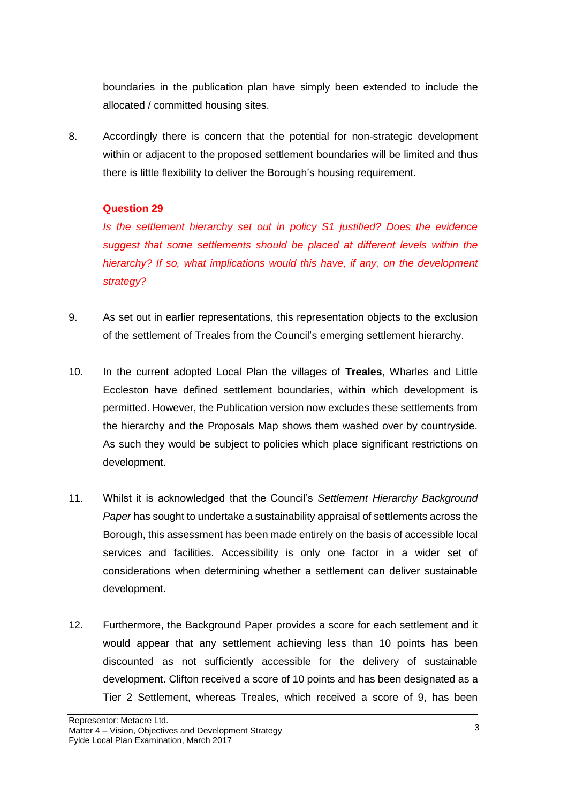boundaries in the publication plan have simply been extended to include the allocated / committed housing sites.

8. Accordingly there is concern that the potential for non-strategic development within or adjacent to the proposed settlement boundaries will be limited and thus there is little flexibility to deliver the Borough's housing requirement.

### **Question 29**

*Is the settlement hierarchy set out in policy S1 justified? Does the evidence suggest that some settlements should be placed at different levels within the hierarchy? If so, what implications would this have, if any, on the development strategy?* 

- 9. As set out in earlier representations, this representation objects to the exclusion of the settlement of Treales from the Council's emerging settlement hierarchy.
- 10. In the current adopted Local Plan the villages of **Treales**, Wharles and Little Eccleston have defined settlement boundaries, within which development is permitted. However, the Publication version now excludes these settlements from the hierarchy and the Proposals Map shows them washed over by countryside. As such they would be subject to policies which place significant restrictions on development.
- 11. Whilst it is acknowledged that the Council's *Settlement Hierarchy Background Paper* has sought to undertake a sustainability appraisal of settlements across the Borough, this assessment has been made entirely on the basis of accessible local services and facilities. Accessibility is only one factor in a wider set of considerations when determining whether a settlement can deliver sustainable development.
- 12. Furthermore, the Background Paper provides a score for each settlement and it would appear that any settlement achieving less than 10 points has been discounted as not sufficiently accessible for the delivery of sustainable development. Clifton received a score of 10 points and has been designated as a Tier 2 Settlement, whereas Treales, which received a score of 9, has been